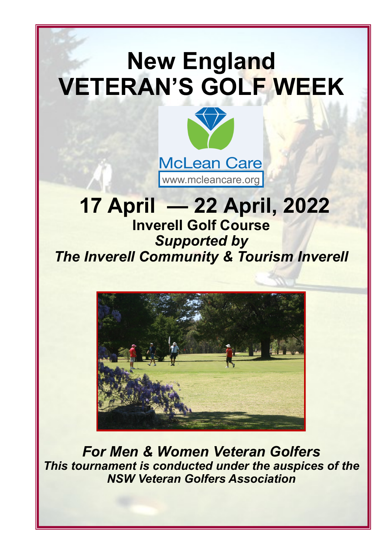# **New England VETERAN'S GOLF WEEK**



# **17 April — 22 April, 2022 Inverell Golf Course** *Supported by The Inverell Community & Tourism Inverell*



*For Men & Women Veteran Golfers This tournament is conducted under the auspices of the NSW Veteran Golfers Association*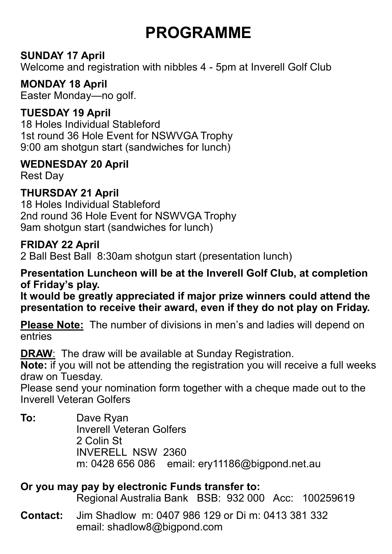# **PROGRAMME**

#### **SUNDAY 17 April**

Welcome and registration with nibbles 4 - 5pm at Inverell Golf Club

#### **MONDAY 18 April**

Easter Monday—no golf.

#### **TUESDAY 19 April**

18 Holes Individual Stableford 1st round 36 Hole Event for NSWVGA Trophy 9:00 am shotgun start (sandwiches for lunch)

#### **WEDNESDAY 20 April**

Rest Day

#### **THURSDAY 21 April**

18 Holes Individual Stableford 2nd round 36 Hole Event for NSWVGA Trophy 9am shotgun start (sandwiches for lunch)

#### **FRIDAY 22 April**

2 Ball Best Ball 8:30am shotgun start (presentation lunch)

#### **Presentation Luncheon will be at the Inverell Golf Club, at completion of Friday's play.**

**It would be greatly appreciated if major prize winners could attend the presentation to receive their award, even if they do not play on Friday.**

**Please Note:** The number of divisions in men's and ladies will depend on entries

**DRAW**: The draw will be available at Sunday Registration.

**Note:** if you will not be attending the registration you will receive a full weeks draw on Tuesday.

Please send your nomination form together with a cheque made out to the Inverell Veteran Golfers

**To:** Dave Ryan Inverell Veteran Golfers 2 Colin St INVERELL NSW 2360 m: 0428 656 086 email: ery11186@bigpond.net.au

#### **Or you may pay by electronic Funds transfer to:**

Regional Australia Bank BSB: 932 000 Acc: 100259619

**Contact:** Jim Shadlow m: 0407 986 129 or Di m: 0413 381 332 email: shadlow8@bigpond.com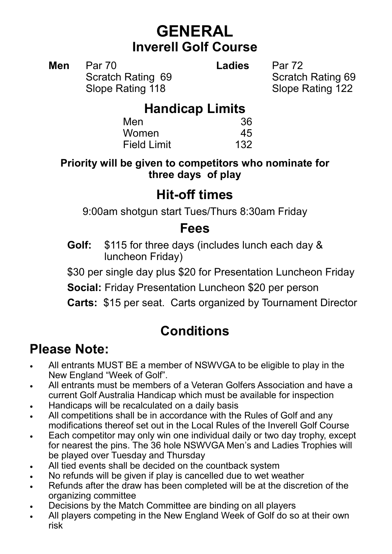### **GENERAL Inverell Golf Course**

**Men** Par 70 **Ladies** Par 72 Scratch Rating 69 Scratch Rating 69 Slope Rating 118 Slope Rating 122

### **Handicap Limits**

| Men                | 36  |
|--------------------|-----|
| Women              | 45  |
| <b>Field Limit</b> | 132 |

**Priority will be given to competitors who nominate for three days of play**

### **Hit-off times**

9:00am shotgun start Tues/Thurs 8:30am Friday

### **Fees**

**Golf:** \$115 for three days (includes lunch each day & luncheon Friday)

\$30 per single day plus \$20 for Presentation Luncheon Friday

**Social:** Friday Presentation Luncheon \$20 per person

**Carts:** \$15 per seat. Carts organized by Tournament Director

### **Conditions**

### **Please Note:**

- All entrants MUST BE a member of NSWVGA to be eligible to play in the New England "Week of Golf".
- All entrants must be members of a Veteran Golfers Association and have a current Golf Australia Handicap which must be available for inspection
- Handicaps will be recalculated on a daily basis
- All competitions shall be in accordance with the Rules of Golf and any modifications thereof set out in the Local Rules of the Inverell Golf Course
- Each competitor may only win one individual daily or two day trophy, except for nearest the pins. The 36 hole NSWVGA Men's and Ladies Trophies will be played over Tuesday and Thursday
- All tied events shall be decided on the countback system
- No refunds will be given if play is cancelled due to wet weather
- Refunds after the draw has been completed will be at the discretion of the organizing committee
- Decisions by the Match Committee are binding on all players
- All players competing in the New England Week of Golf do so at their own risk